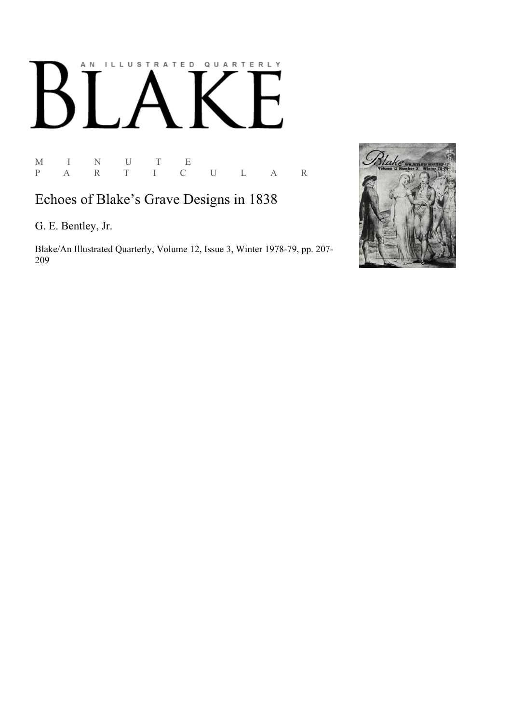# AN ILLUSTRATED QUARTERLY  $\boldsymbol{\mathsf{B}}$

 $\begin{array}{ccccccccc} \mathbf{M} & & \mathbf{I} & & \mathbf{N} & & \mathbf{U} & & \mathbf{T} & & \mathbf{E} \\ \mathbf{P} & & \mathbf{A} & & \mathbf{R} & & \mathbf{T} & & \mathbf{I} & & \mathbf{C} \end{array}$ P A R T I C U L A R

# Echoes of Blake's Grave Designs in 1838

G. E. Bentley, Jr.

Blake/An Illustrated Quarterly, Volume 12, Issue 3, Winter 1978-79, pp. 207-209

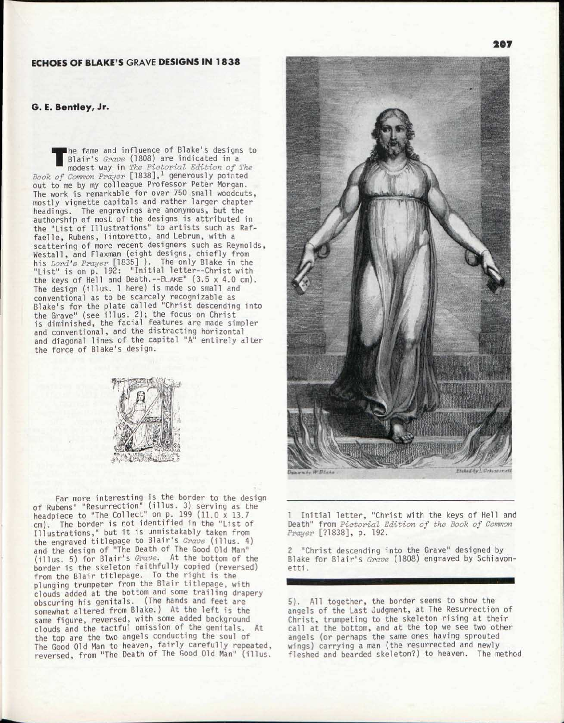## ECHOES OF BLAKE'S GRAVE DESIGNS IN 1838

#### G. E. Bentley, Jr.

**The fame and influence of Blake's designs to Blair's** *Grave* **(1808) are indicated in a modest way in** *The Pictorial Edition of The Book of Common Prayer* **[1838],<sup>1</sup> generously pointed** he fame and influence of Blake's designs to Blair's *Grave* (1808) are indicated in a modest way in *The Pictorial Edition of The*  out to me by my colleague Professor Peter Morgan. The work is remarkable for over 750 small woodcuts, mostly vignette capitals and rather larger chapter headings. The engravings are anonymous, but the authorship of most of the designs is attributed in the "List of Illustrations" to artists such as Raffaelle, Rubens, Tintoretto, and Lebrun, with a scattering of more recent designers such as Reynolds, Westall, and Flaxman (eight designs, chiefly from his *Lord's Prayer* [1835] ). The only Blake in the "List" is on p. 192: "Initial letter--Christ with the keys of Hell and Death.--BLAKE" (3.5 x 4.0 cm). The design (illus. 1 here) is made so small and conventional as to be scarcely recognizable as Blake's for the plate called "Christ descending into the Grave" (see illus. 2); the focus on Christ is diminished, the facial features are made simpler and conventional, and the distracting horizontal and diagonal lines of the capital "A" entirely alter the force of Blake's design.



Far more interesting is the border to the design of Rubens' "Resurrection" (illus. 3) serving as the headpiece to "The Collect" on p. 199 (11.0 x 13.7) cm). The border is not identified in the "List of Illustrations," but it is unmistakably taken from the engraved titlepage to Blair's *Grave* (illus. 4) and the design of "The Death of The Good Old Man" (illus. 5) for Blair's *Grave.* At the bottom of the border is the skeleton faithfully copied (reversed) from the Blair titlepage. To the right is the plunging trumpeter from the Blair titlepage, with clouds added at the bottom and some trailing drapery obscuring his genitals. (The hands and feet are somewhat altered from Blake.) At the left is the same figure, reversed, with some added background clouds and the tactful omission of the genitals. At the top are the two angels conducting the soul of The Good Old Man to heaven, fairly carefully repeated, reversed, from "The Death of The Good Old Man" (illus.



1 Initial letter, "Christ with the keys of Hell and Death" from *Piotorial Edition of the Book of Common Prayer* [71838], p. 192.

2 "Christ descending into the Grave" designed by Blake for Blair's *Grave* (1808) engraved by Schiavonetti.

5). All together, the border seems to show the angels of the Last Judgment, at The Resurrection of Christ, trumpeting to the skeleton rising at their call at the bottom, and at the top we see two other angels (or perhaps the same ones having sprouted wings) carrying a man (the resurrected and newly fleshed and bearded skeleton?) to heaven. The method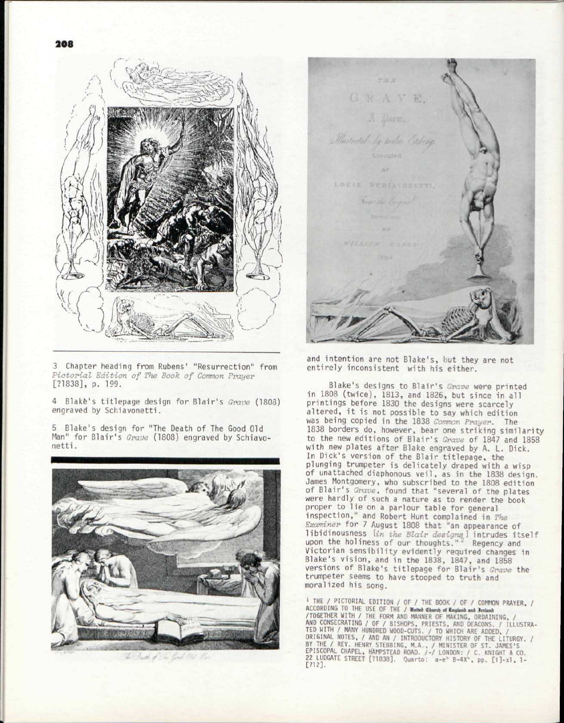

3 Chapter heading from Rubens' "Resurrection" from *Pictorial Edition of The Book of Common Prayer*  [71838], p. 199.

4 Blake's titlepage design for Blair's *Grave* (1803) engraved by Schiavonetti.

5 Blake's design for "The Death of The Good Old Man" for Blair's *Grave* (1808) engraved by Schiavonetti .



The Death of The Good Old Has

on as as GRAVE. A Dorm. Married to water Expres LOUIS, STRIANDNETTI, Herman this River

and intention are not Blake's, but they are not entirely inconsistent with his either.

Blake's designs to Blair's *Grave* were printed in 1808 (twice), 1813, and 1826, but since in all printings before 1830 the designs were scarcely altered, it is not possible to say which edition was being copied in the 1838 *Common Prayer.* The 1838 borders do, however, bear one striking similarity to the new editions of Blair's *Grave* of 1847 and 1858 with new plates after Blake engraved by A. L. Dick. In Dick's version of the Blair titlepage, the plunging trumpeter is delicately draped with a wisp of unattached diaphonous veil, as in the 1838 design. James Montgomery, who subscribed to the 1808 edition of Blair's *Grave,* found that "several of the plates were hardly of such a nature as to render the book proper to lie on a parlour table for general inspection," and Robert Hunt complained in *The Examiner* for 7 August 1808 that "an appearance of libidinousness *[in the Blair designs)* intrudes itself upon the holiness of our thoughts  $\frac{12}{2}$  Regency and Victorian sensibility evidently required changes in Blake's vision, and in the 1838, 1847, and 1858 versions of Blake's titlepage for Blair's *Grave* the trumpeter seems to have stooped to truth and moralized his song.

<sup>1</sup> THE / PICTORIAL EDITION / OF / THE BOOK / OF / COMMON PRAYER, /<br>ACCORDING TO THE USE OF THE / **Nuturo (Eburch of England and Recland** /TOGETHER WITH / THE FORM AND MANNER OF MAKING, ORDAINING, / AND CONSECRATING / OF / BISHOPS, PRIESTS, AND DEACONS. / ILLUSTRA-<br>TED WITH / MANY HUNDRED WOOD-CUTS. / TO WHICH ARE ADDED, /<br>ORIGINAL NOTES, / AND AN / INTRODUCTORY HISTORY OF THE LITURGY. /<br>BY THE / REV. HENRY STEBBING,